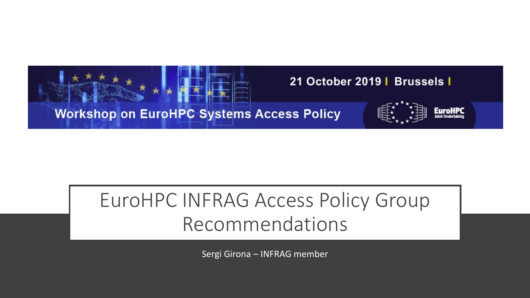

#### EuroHPC INFRAG Access Policy Group Recommendations

Sergi Girona – INFRAG member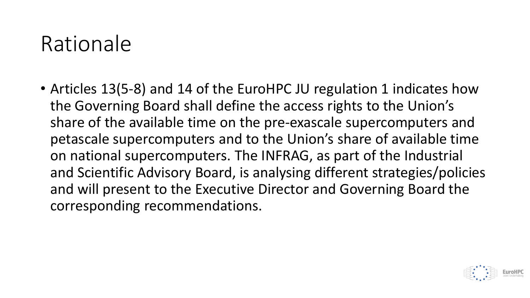#### Rationale

• Articles 13(5-8) and 14 of the EuroHPC JU regulation 1 indicates how the Governing Board shall define the access rights to the Union's share of the available time on the pre-exascale supercomputers and petascale supercomputers and to the Union's share of available time on national supercomputers. The INFRAG, as part of the Industrial and Scientific Advisory Board, is analysing different strategies/policies and will present to the Executive Director and Governing Board the corresponding recommendations.

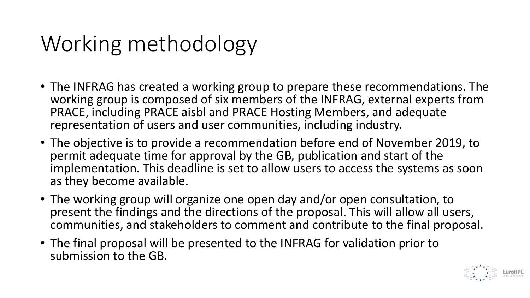## Working methodology

- The INFRAG has created a working group to prepare these recommendations. The working group is composed of six members of the INFRAG, external experts from PRACE, including PRACE aisbl and PRACE Hosting Members, and adequate representation of users and user communities, including industry.
- The objective is to provide a recommendation before end of November 2019, to permit adequate time for approval by the GB, publication and start of the implementation. This deadline is set to allow users to access the systems as soon as they become available.
- The working group will organize one open day and/or open consultation, to present the findings and the directions of the proposal. This will allow all users, communities, and stakeholders to comment and contribute to the final proposal.
- The final proposal will be presented to the INFRAG for validation prior to submission to the GB.

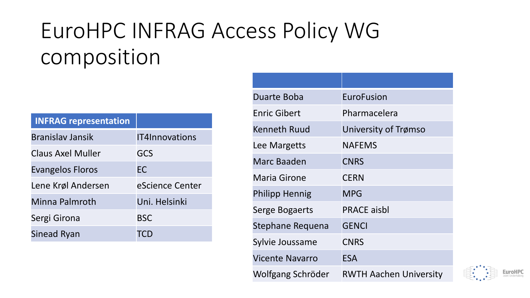## EuroHPC INFRAG Access Policy WG composition

| <b>INFRAG representation</b> |                 |
|------------------------------|-----------------|
| <b>Branislay Jansik</b>      | IT4Innovations  |
| Claus Axel Muller            | GCS             |
| <b>Evangelos Floros</b>      | <b>EC</b>       |
| Lene Krøl Andersen           | eScience Center |
| Minna Palmroth               | Uni. Helsinki   |
| Sergi Girona                 | <b>BSC</b>      |
| Sinead Ryan                  | TCD             |

| Duarte Boba            | <b>EuroFusion</b>             |
|------------------------|-------------------------------|
| <b>Enric Gibert</b>    | Pharmacelera                  |
| <b>Kenneth Ruud</b>    | University of Trømso          |
| Lee Margetts           | <b>NAFEMS</b>                 |
| Marc Baaden            | <b>CNRS</b>                   |
| <b>Maria Girone</b>    | <b>CERN</b>                   |
| <b>Philipp Hennig</b>  | <b>MPG</b>                    |
| <b>Serge Bogaerts</b>  | <b>PRACE aisbl</b>            |
| Stephane Requena       | <b>GENCI</b>                  |
| Sylvie Joussame        | <b>CNRS</b>                   |
| <b>Vicente Navarro</b> | <b>ESA</b>                    |
| Wolfgang Schröder      | <b>RWTH Aachen University</b> |

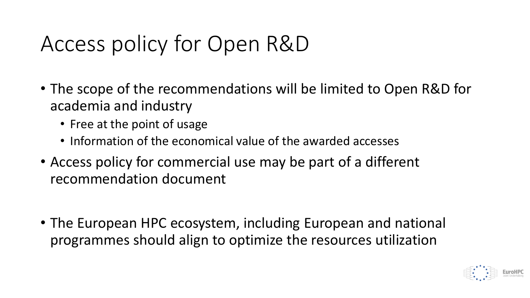## Access policy for Open R&D

- The scope of the recommendations will be limited to Open R&D for academia and industry
	- Free at the point of usage
	- Information of the economical value of the awarded accesses
- Access policy for commercial use may be part of a different recommendation document
- The European HPC ecosystem, including European and national programmes should align to optimize the resources utilization

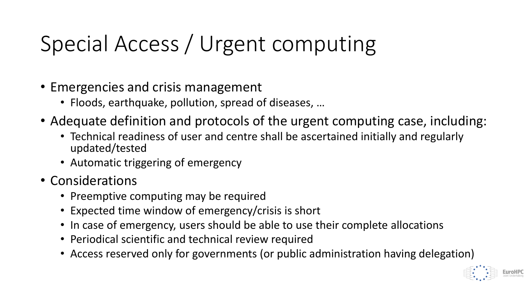# Special Access / Urgent computing

- Emergencies and crisis management
	- Floods, earthquake, pollution, spread of diseases, …
- Adequate definition and protocols of the urgent computing case, including:
	- Technical readiness of user and centre shall be ascertained initially and regularly updated/tested
	- Automatic triggering of emergency
- Considerations
	- Preemptive computing may be required
	- Expected time window of emergency/crisis is short
	- In case of emergency, users should be able to use their complete allocations
	- Periodical scientific and technical review required
	- Access reserved only for governments (or public administration having delegation)

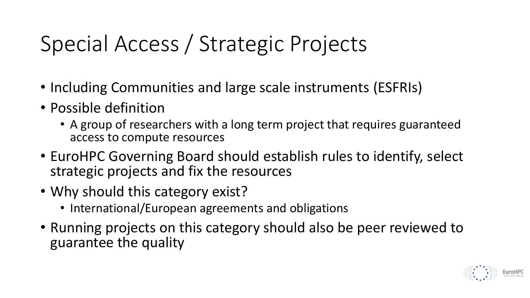# Special Access / Strategic Projects

- Including Communities and large scale instruments (ESFRIs)
- Possible definition
	- A group of researchers with a long term project that requires guaranteed access to compute resources
- EuroHPC Governing Board should establish rules to identify, select strategic projects and fix the resources
- Why should this category exist?
	- International/European agreements and obligations
- Running projects on this category should also be peer reviewed to guarantee the quality

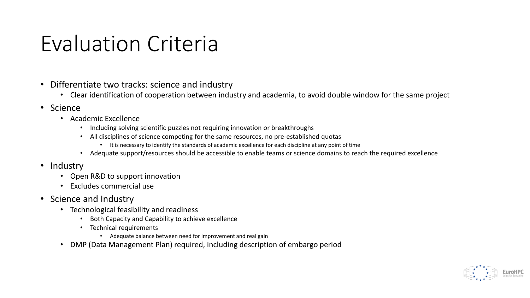### Evaluation Criteria

- Differentiate two tracks: science and industry
	- Clear identification of cooperation between industry and academia, to avoid double window for the same project
- Science
	- Academic Excellence
		- Including solving scientific puzzles not requiring innovation or breakthroughs
		- All disciplines of science competing for the same resources, no pre-established quotas
			- It is necessary to identify the standards of academic excellence for each discipline at any point of time
		- Adequate support/resources should be accessible to enable teams or science domains to reach the required excellence
- Industry
	- Open R&D to support innovation
	- Excludes commercial use
- Science and Industry
	- Technological feasibility and readiness
		- Both Capacity and Capability to achieve excellence
		- Technical requirements
			- Adequate balance between need for improvement and real gain
	- DMP (Data Management Plan) required, including description of embargo period

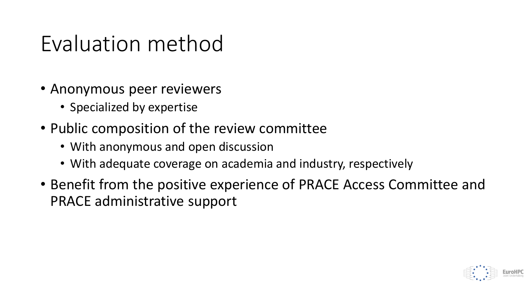### Evaluation method

- Anonymous peer reviewers
	- Specialized by expertise
- Public composition of the review committee
	- With anonymous and open discussion
	- With adequate coverage on academia and industry, respectively
- Benefit from the positive experience of PRACE Access Committee and PRACE administrative support

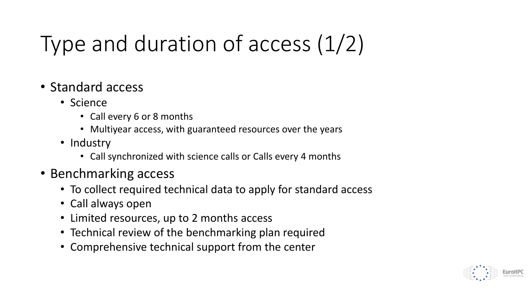# Type and duration of access (1/2)

- Standard access
	- Science
		- Call every 6 or 8 months
		- Multiyear access, with guaranteed resources over the years
	- Industry
		- Call synchronized with science calls or Calls every 4 months
- Benchmarking access
	- To collect required technical data to apply for standard access
	- Call always open
	- Limited resources, up to 2 months access
	- Technical review of the benchmarking plan required
	- Comprehensive technical support from the center

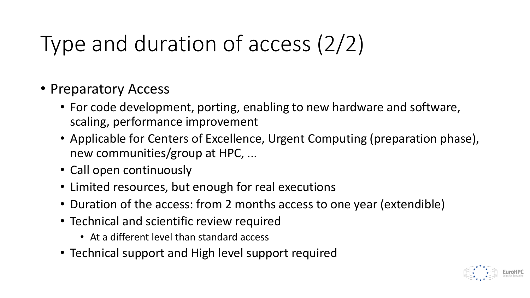# Type and duration of access (2/2)

- Preparatory Access
	- For code development, porting, enabling to new hardware and software, scaling, performance improvement
	- Applicable for Centers of Excellence, Urgent Computing (preparation phase), new communities/group at HPC, ...
	- Call open continuously
	- Limited resources, but enough for real executions
	- Duration of the access: from 2 months access to one year (extendible)
	- Technical and scientific review required
		- At a different level than standard access
	- Technical support and High level support required

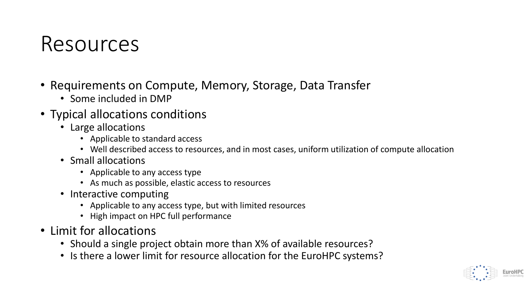#### Resources

- Requirements on Compute, Memory, Storage, Data Transfer
	- Some included in DMP
- Typical allocations conditions
	- Large allocations
		- Applicable to standard access
		- Well described access to resources, and in most cases, uniform utilization of compute allocation
	- Small allocations
		- Applicable to any access type
		- As much as possible, elastic access to resources
	- Interactive computing
		- Applicable to any access type, but with limited resources
		- High impact on HPC full performance
- Limit for allocations
	- Should a single project obtain more than X% of available resources?
	- Is there a lower limit for resource allocation for the EuroHPC systems?

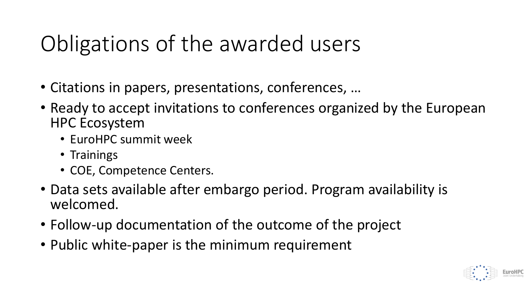### Obligations of the awarded users

- Citations in papers, presentations, conferences, …
- Ready to accept invitations to conferences organized by the European HPC Ecosystem
	- EuroHPC summit week
	- Trainings
	- COE, Competence Centers.
- Data sets available after embargo period. Program availability is welcomed.
- Follow-up documentation of the outcome of the project
- Public white-paper is the minimum requirement

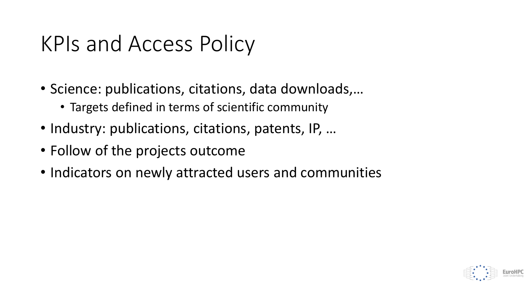### KPIs and Access Policy

- Science: publications, citations, data downloads,…
	- Targets defined in terms of scientific community
- Industry: publications, citations, patents, IP, …
- Follow of the projects outcome
- Indicators on newly attracted users and communities